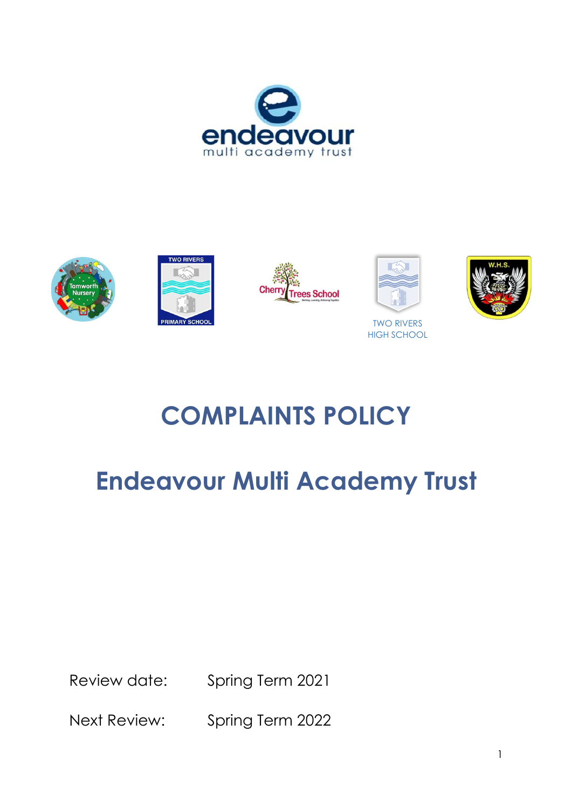











# **COMPLAINTS POLICY**

# **Endeavour Multi Academy Trust**

Review date: Spring Term 2021

Next Review: Spring Term 2022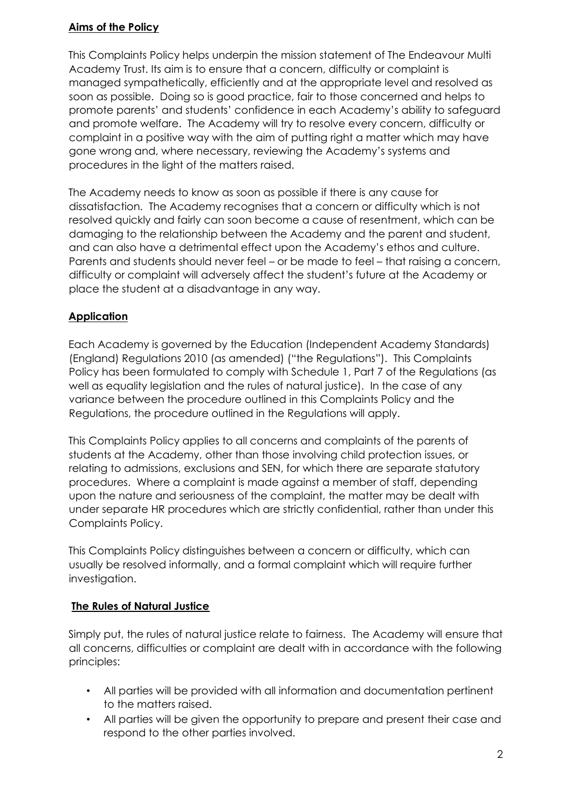## **Aims of the Policy**

This Complaints Policy helps underpin the mission statement of The Endeavour Multi Academy Trust. Its aim is to ensure that a concern, difficulty or complaint is managed sympathetically, efficiently and at the appropriate level and resolved as soon as possible. Doing so is good practice, fair to those concerned and helps to promote parents' and students' confidence in each Academy's ability to safeguard and promote welfare. The Academy will try to resolve every concern, difficulty or complaint in a positive way with the aim of putting right a matter which may have gone wrong and, where necessary, reviewing the Academy's systems and procedures in the light of the matters raised.

The Academy needs to know as soon as possible if there is any cause for dissatisfaction. The Academy recognises that a concern or difficulty which is not resolved quickly and fairly can soon become a cause of resentment, which can be damaging to the relationship between the Academy and the parent and student, and can also have a detrimental effect upon the Academy's ethos and culture. Parents and students should never feel – or be made to feel – that raising a concern, difficulty or complaint will adversely affect the student's future at the Academy or place the student at a disadvantage in any way.

## **Application**

Each Academy is governed by the Education (Independent Academy Standards) (England) Regulations 2010 (as amended) ("the Regulations"). This Complaints Policy has been formulated to comply with Schedule 1, Part 7 of the Regulations (as well as equality legislation and the rules of natural justice). In the case of any variance between the procedure outlined in this Complaints Policy and the Regulations, the procedure outlined in the Regulations will apply.

This Complaints Policy applies to all concerns and complaints of the parents of students at the Academy, other than those involving child protection issues, or relating to admissions, exclusions and SEN, for which there are separate statutory procedures. Where a complaint is made against a member of staff, depending upon the nature and seriousness of the complaint, the matter may be dealt with under separate HR procedures which are strictly confidential, rather than under this Complaints Policy.

This Complaints Policy distinguishes between a concern or difficulty, which can usually be resolved informally, and a formal complaint which will require further investigation.

## **The Rules of Natural Justice**

Simply put, the rules of natural justice relate to fairness. The Academy will ensure that all concerns, difficulties or complaint are dealt with in accordance with the following principles:

- All parties will be provided with all information and documentation pertinent to the matters raised.
- All parties will be given the opportunity to prepare and present their case and respond to the other parties involved.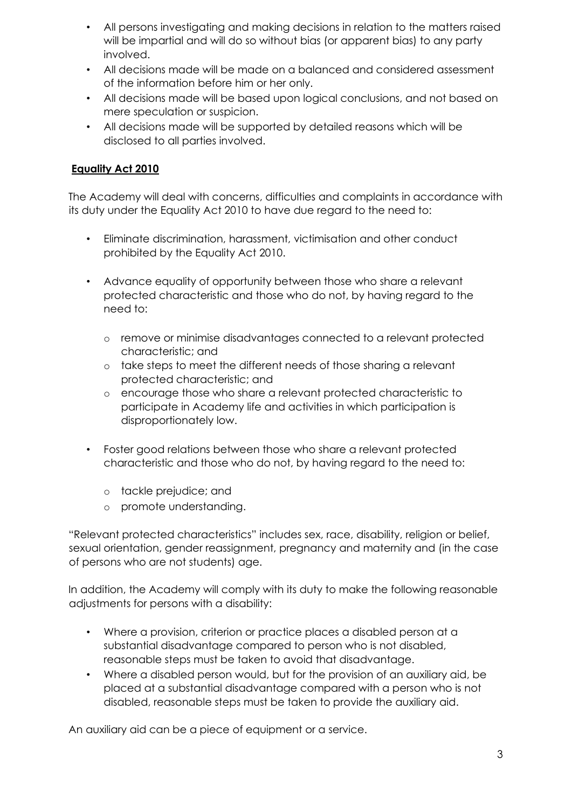- All persons investigating and making decisions in relation to the matters raised will be impartial and will do so without bias (or apparent bias) to any party involved.
- All decisions made will be made on a balanced and considered assessment of the information before him or her only.
- All decisions made will be based upon logical conclusions, and not based on mere speculation or suspicion.
- All decisions made will be supported by detailed reasons which will be disclosed to all parties involved.

# **Equality Act 2010**

The Academy will deal with concerns, difficulties and complaints in accordance with its duty under the Equality Act 2010 to have due regard to the need to:

- Eliminate discrimination, harassment, victimisation and other conduct prohibited by the Equality Act 2010.
- Advance equality of opportunity between those who share a relevant protected characteristic and those who do not, by having regard to the need to:
	- o remove or minimise disadvantages connected to a relevant protected characteristic; and
	- o take steps to meet the different needs of those sharing a relevant protected characteristic; and
	- o encourage those who share a relevant protected characteristic to participate in Academy life and activities in which participation is disproportionately low.
- Foster good relations between those who share a relevant protected characteristic and those who do not, by having regard to the need to:
	- o tackle prejudice; and
	- o promote understanding.

"Relevant protected characteristics" includes sex, race, disability, religion or belief, sexual orientation, gender reassignment, pregnancy and maternity and (in the case of persons who are not students) age.

In addition, the Academy will comply with its duty to make the following reasonable adjustments for persons with a disability:

- Where a provision, criterion or practice places a disabled person at a substantial disadvantage compared to person who is not disabled, reasonable steps must be taken to avoid that disadvantage.
- Where a disabled person would, but for the provision of an auxiliary aid, be placed at a substantial disadvantage compared with a person who is not disabled, reasonable steps must be taken to provide the auxiliary aid.

An auxiliary aid can be a piece of equipment or a service.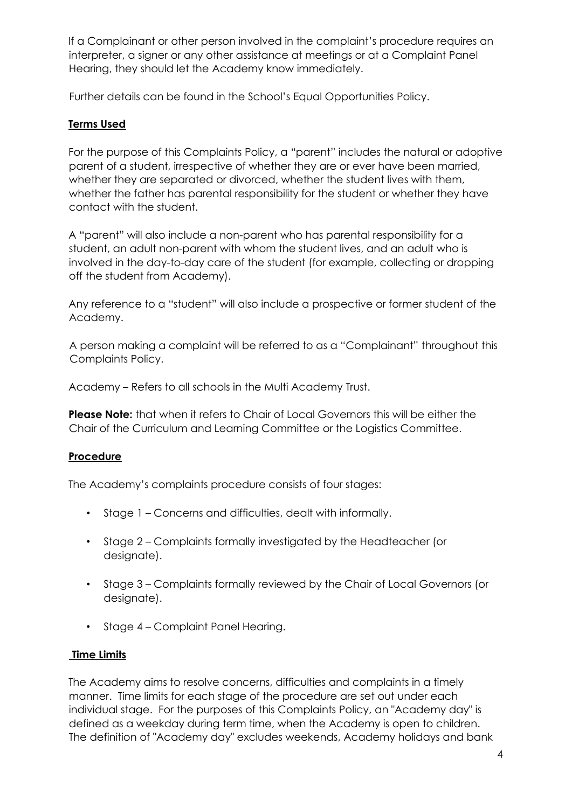If a Complainant or other person involved in the complaint's procedure requires an interpreter, a signer or any other assistance at meetings or at a Complaint Panel Hearing, they should let the Academy know immediately.

Further details can be found in the School's Equal Opportunities Policy.

# **Terms Used**

For the purpose of this Complaints Policy, a "parent" includes the natural or adoptive parent of a student, irrespective of whether they are or ever have been married, whether they are separated or divorced, whether the student lives with them, whether the father has parental responsibility for the student or whether they have contact with the student.

A "parent" will also include a non-parent who has parental responsibility for a student, an adult non-parent with whom the student lives, and an adult who is involved in the day-to-day care of the student (for example, collecting or dropping off the student from Academy).

Any reference to a "student" will also include a prospective or former student of the Academy.

A person making a complaint will be referred to as a "Complainant" throughout this Complaints Policy.

Academy – Refers to all schools in the Multi Academy Trust.

**Please Note:** that when it refers to Chair of Local Governors this will be either the Chair of the Curriculum and Learning Committee or the Logistics Committee.

## **Procedure**

The Academy's complaints procedure consists of four stages:

- Stage 1 Concerns and difficulties, dealt with informally.
- Stage 2 Complaints formally investigated by the Headteacher (or designate).
- Stage 3 Complaints formally reviewed by the Chair of Local Governors (or designate).
- Stage 4 Complaint Panel Hearing.

# **Time Limits**

The Academy aims to resolve concerns, difficulties and complaints in a timely manner. Time limits for each stage of the procedure are set out under each individual stage. For the purposes of this Complaints Policy, an "Academy day" is defined as a weekday during term time, when the Academy is open to children. The definition of "Academy day" excludes weekends, Academy holidays and bank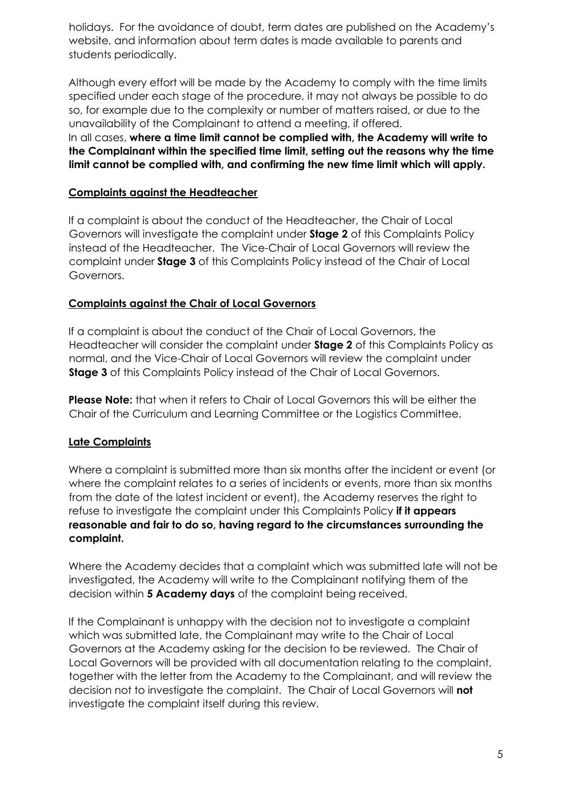holidays. For the avoidance of doubt, term dates are published on the Academy's website, and information about term dates is made available to parents and students periodically.

Although every effort will be made by the Academy to comply with the time limits specified under each stage of the procedure, it may not always be possible to do so, for example due to the complexity or number of matters raised, or due to the unavailability of the Complainant to attend a meeting, if offered.

In all cases, **where a time limit cannot be complied with, the Academy will write to the Complainant within the specified time limit, setting out the reasons why the time limit cannot be complied with, and confirming the new time limit which will apply.** 

## **Complaints against the Headteacher**

If a complaint is about the conduct of the Headteacher, the Chair of Local Governors will investigate the complaint under **Stage 2** of this Complaints Policy instead of the Headteacher. The Vice-Chair of Local Governors will review the complaint under **Stage 3** of this Complaints Policy instead of the Chair of Local Governors.

## **Complaints against the Chair of Local Governors**

If a complaint is about the conduct of the Chair of Local Governors, the Headteacher will consider the complaint under **Stage 2** of this Complaints Policy as normal, and the Vice-Chair of Local Governors will review the complaint under **Stage 3** of this Complaints Policy instead of the Chair of Local Governors.

**Please Note:** that when it refers to Chair of Local Governors this will be either the Chair of the Curriculum and Learning Committee or the Logistics Committee.

## **Late Complaints**

Where a complaint is submitted more than six months after the incident or event (or where the complaint relates to a series of incidents or events, more than six months from the date of the latest incident or event), the Academy reserves the right to refuse to investigate the complaint under this Complaints Policy **if it appears reasonable and fair to do so, having regard to the circumstances surrounding the complaint.** 

Where the Academy decides that a complaint which was submitted late will not be investigated, the Academy will write to the Complainant notifying them of the decision within **5 Academy days** of the complaint being received.

If the Complainant is unhappy with the decision not to investigate a complaint which was submitted late, the Complainant may write to the Chair of Local Governors at the Academy asking for the decision to be reviewed. The Chair of Local Governors will be provided with all documentation relating to the complaint, together with the letter from the Academy to the Complainant, and will review the decision not to investigate the complaint. The Chair of Local Governors will **not** investigate the complaint itself during this review.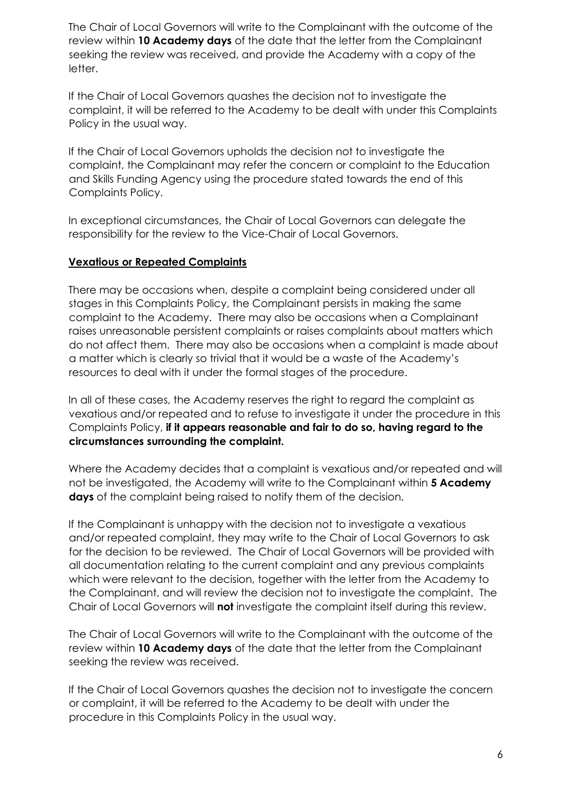The Chair of Local Governors will write to the Complainant with the outcome of the review within **10 Academy days** of the date that the letter from the Complainant seeking the review was received, and provide the Academy with a copy of the letter.

If the Chair of Local Governors quashes the decision not to investigate the complaint, it will be referred to the Academy to be dealt with under this Complaints Policy in the usual way.

If the Chair of Local Governors upholds the decision not to investigate the complaint, the Complainant may refer the concern or complaint to the Education and Skills Funding Agency using the procedure stated towards the end of this Complaints Policy.

In exceptional circumstances, the Chair of Local Governors can delegate the responsibility for the review to the Vice-Chair of Local Governors.

#### **Vexatious or Repeated Complaints**

There may be occasions when, despite a complaint being considered under all stages in this Complaints Policy, the Complainant persists in making the same complaint to the Academy. There may also be occasions when a Complainant raises unreasonable persistent complaints or raises complaints about matters which do not affect them. There may also be occasions when a complaint is made about a matter which is clearly so trivial that it would be a waste of the Academy's resources to deal with it under the formal stages of the procedure.

In all of these cases, the Academy reserves the right to regard the complaint as vexatious and/or repeated and to refuse to investigate it under the procedure in this Complaints Policy, **if it appears reasonable and fair to do so, having regard to the circumstances surrounding the complaint.**

Where the Academy decides that a complaint is vexatious and/or repeated and will not be investigated, the Academy will write to the Complainant within **5 Academy days** of the complaint being raised to notify them of the decision.

If the Complainant is unhappy with the decision not to investigate a vexatious and/or repeated complaint, they may write to the Chair of Local Governors to ask for the decision to be reviewed. The Chair of Local Governors will be provided with all documentation relating to the current complaint and any previous complaints which were relevant to the decision, together with the letter from the Academy to the Complainant, and will review the decision not to investigate the complaint. The Chair of Local Governors will **not** investigate the complaint itself during this review.

The Chair of Local Governors will write to the Complainant with the outcome of the review within **10 Academy days** of the date that the letter from the Complainant seeking the review was received.

If the Chair of Local Governors quashes the decision not to investigate the concern or complaint, it will be referred to the Academy to be dealt with under the procedure in this Complaints Policy in the usual way.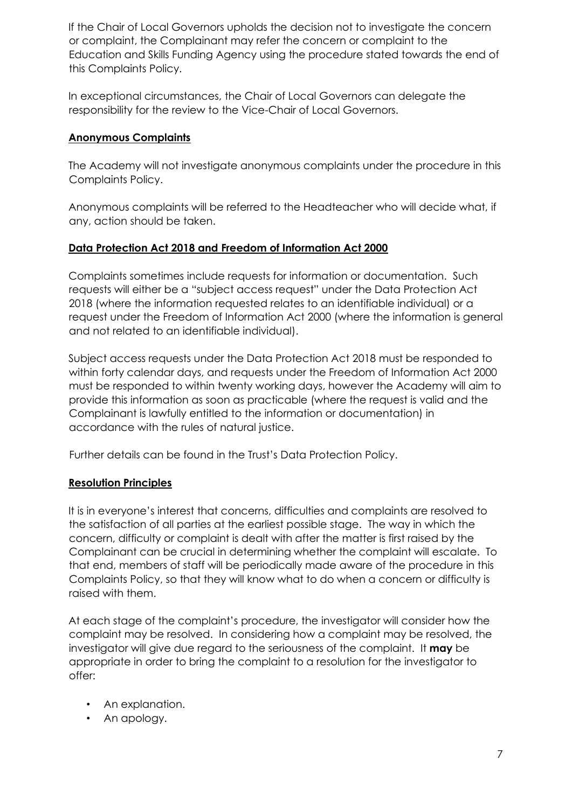If the Chair of Local Governors upholds the decision not to investigate the concern or complaint, the Complainant may refer the concern or complaint to the Education and Skills Funding Agency using the procedure stated towards the end of this Complaints Policy.

In exceptional circumstances, the Chair of Local Governors can delegate the responsibility for the review to the Vice-Chair of Local Governors.

## **Anonymous Complaints**

The Academy will not investigate anonymous complaints under the procedure in this Complaints Policy.

Anonymous complaints will be referred to the Headteacher who will decide what, if any, action should be taken.

## **Data Protection Act 2018 and Freedom of Information Act 2000**

Complaints sometimes include requests for information or documentation. Such requests will either be a "subject access request" under the Data Protection Act 2018 (where the information requested relates to an identifiable individual) or a request under the Freedom of Information Act 2000 (where the information is general and not related to an identifiable individual).

Subject access requests under the Data Protection Act 2018 must be responded to within forty calendar days, and requests under the Freedom of Information Act 2000 must be responded to within twenty working days, however the Academy will aim to provide this information as soon as practicable (where the request is valid and the Complainant is lawfully entitled to the information or documentation) in accordance with the rules of natural justice.

Further details can be found in the Trust's Data Protection Policy.

## **Resolution Principles**

It is in everyone's interest that concerns, difficulties and complaints are resolved to the satisfaction of all parties at the earliest possible stage. The way in which the concern, difficulty or complaint is dealt with after the matter is first raised by the Complainant can be crucial in determining whether the complaint will escalate. To that end, members of staff will be periodically made aware of the procedure in this Complaints Policy, so that they will know what to do when a concern or difficulty is raised with them.

At each stage of the complaint's procedure, the investigator will consider how the complaint may be resolved. In considering how a complaint may be resolved, the investigator will give due regard to the seriousness of the complaint. It **may** be appropriate in order to bring the complaint to a resolution for the investigator to offer:

- An explanation.
- An apology.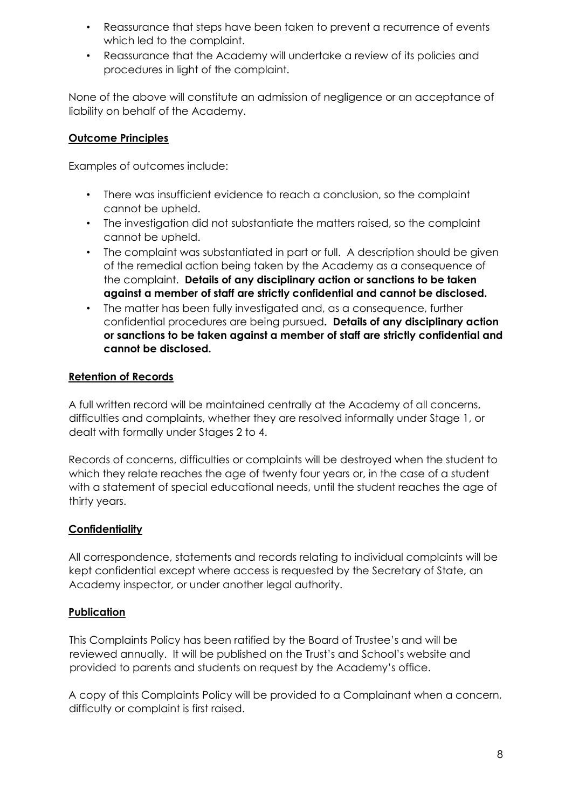- Reassurance that steps have been taken to prevent a recurrence of events which led to the complaint.
- Reassurance that the Academy will undertake a review of its policies and procedures in light of the complaint.

None of the above will constitute an admission of negligence or an acceptance of liability on behalf of the Academy.

# **Outcome Principles**

Examples of outcomes include:

- There was insufficient evidence to reach a conclusion, so the complaint cannot be upheld.
- The investigation did not substantiate the matters raised, so the complaint cannot be upheld.
- The complaint was substantiated in part or full. A description should be given of the remedial action being taken by the Academy as a consequence of the complaint. **Details of any disciplinary action or sanctions to be taken against a member of staff are strictly confidential and cannot be disclosed.**
- The matter has been fully investigated and, as a consequence, further confidential procedures are being pursued**. Details of any disciplinary action or sanctions to be taken against a member of staff are strictly confidential and cannot be disclosed.**

# **Retention of Records**

A full written record will be maintained centrally at the Academy of all concerns, difficulties and complaints, whether they are resolved informally under Stage 1, or dealt with formally under Stages 2 to 4.

Records of concerns, difficulties or complaints will be destroyed when the student to which they relate reaches the age of twenty four years or, in the case of a student with a statement of special educational needs, until the student reaches the age of thirty years.

# **Confidentiality**

All correspondence, statements and records relating to individual complaints will be kept confidential except where access is requested by the Secretary of State, an Academy inspector, or under another legal authority.

# **Publication**

This Complaints Policy has been ratified by the Board of Trustee's and will be reviewed annually. It will be published on the Trust's and School's website and provided to parents and students on request by the Academy's office.

A copy of this Complaints Policy will be provided to a Complainant when a concern, difficulty or complaint is first raised.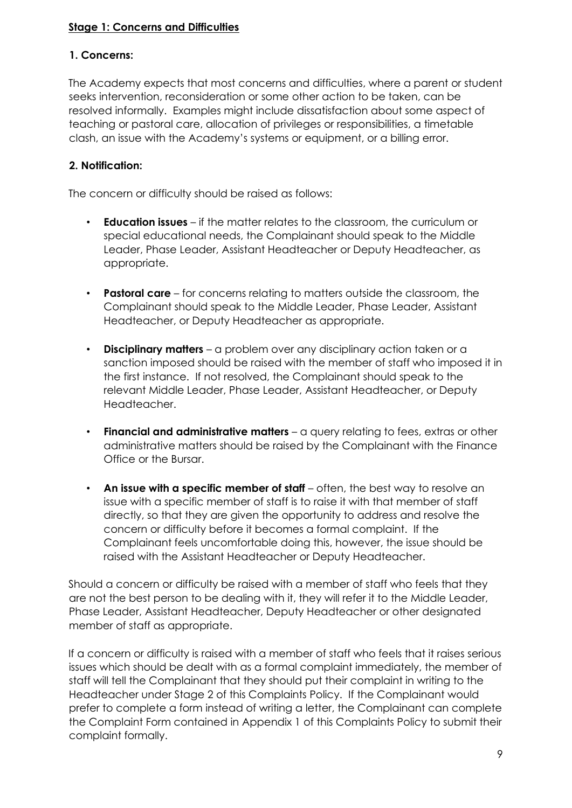## **Stage 1: Concerns and Difficulties**

## **1. Concerns:**

The Academy expects that most concerns and difficulties, where a parent or student seeks intervention, reconsideration or some other action to be taken, can be resolved informally. Examples might include dissatisfaction about some aspect of teaching or pastoral care, allocation of privileges or responsibilities, a timetable clash, an issue with the Academy's systems or equipment, or a billing error.

## **2. Notification:**

The concern or difficulty should be raised as follows:

- **Education issues** if the matter relates to the classroom, the curriculum or special educational needs, the Complainant should speak to the Middle Leader, Phase Leader, Assistant Headteacher or Deputy Headteacher, as appropriate.
- **Pastoral care** for concerns relating to matters outside the classroom, the Complainant should speak to the Middle Leader, Phase Leader, Assistant Headteacher, or Deputy Headteacher as appropriate.
- **Disciplinary matters** a problem over any disciplinary action taken or a sanction imposed should be raised with the member of staff who imposed it in the first instance. If not resolved, the Complainant should speak to the relevant Middle Leader, Phase Leader, Assistant Headteacher, or Deputy Headteacher.
- **Financial and administrative matters** a query relating to fees, extras or other administrative matters should be raised by the Complainant with the Finance Office or the Bursar.
- **An issue with a specific member of staff** often, the best way to resolve an issue with a specific member of staff is to raise it with that member of staff directly, so that they are given the opportunity to address and resolve the concern or difficulty before it becomes a formal complaint. If the Complainant feels uncomfortable doing this, however, the issue should be raised with the Assistant Headteacher or Deputy Headteacher.

Should a concern or difficulty be raised with a member of staff who feels that they are not the best person to be dealing with it, they will refer it to the Middle Leader, Phase Leader, Assistant Headteacher, Deputy Headteacher or other designated member of staff as appropriate.

If a concern or difficulty is raised with a member of staff who feels that it raises serious issues which should be dealt with as a formal complaint immediately, the member of staff will tell the Complainant that they should put their complaint in writing to the Headteacher under Stage 2 of this Complaints Policy. If the Complainant would prefer to complete a form instead of writing a letter, the Complainant can complete the Complaint Form contained in Appendix 1 of this Complaints Policy to submit their complaint formally.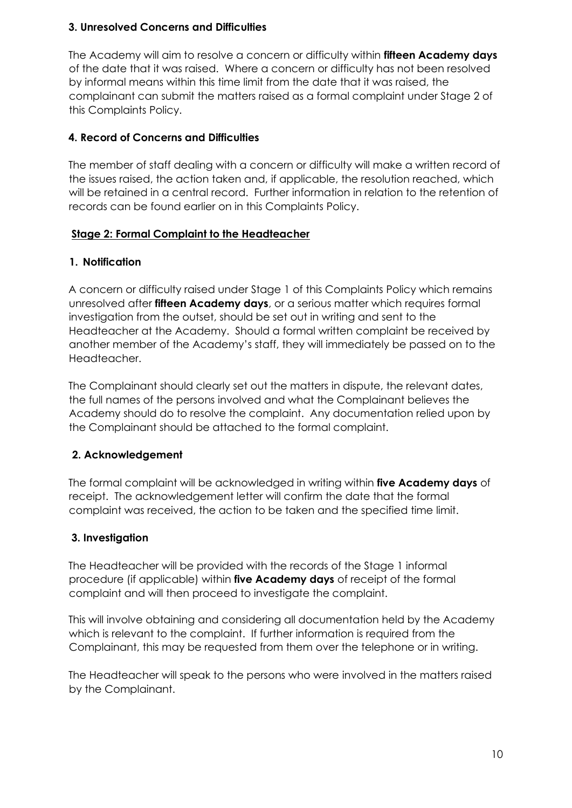## **3. Unresolved Concerns and Difficulties**

The Academy will aim to resolve a concern or difficulty within **fifteen Academy days** of the date that it was raised. Where a concern or difficulty has not been resolved by informal means within this time limit from the date that it was raised, the complainant can submit the matters raised as a formal complaint under Stage 2 of this Complaints Policy.

# **4. Record of Concerns and Difficulties**

The member of staff dealing with a concern or difficulty will make a written record of the issues raised, the action taken and, if applicable, the resolution reached, which will be retained in a central record. Further information in relation to the retention of records can be found earlier on in this Complaints Policy.

## **Stage 2: Formal Complaint to the Headteacher**

## **1. Notification**

A concern or difficulty raised under Stage 1 of this Complaints Policy which remains unresolved after **fifteen Academy days**, or a serious matter which requires formal investigation from the outset, should be set out in writing and sent to the Headteacher at the Academy. Should a formal written complaint be received by another member of the Academy's staff, they will immediately be passed on to the Headteacher.

The Complainant should clearly set out the matters in dispute, the relevant dates, the full names of the persons involved and what the Complainant believes the Academy should do to resolve the complaint. Any documentation relied upon by the Complainant should be attached to the formal complaint.

# **2. Acknowledgement**

The formal complaint will be acknowledged in writing within **five Academy days** of receipt. The acknowledgement letter will confirm the date that the formal complaint was received, the action to be taken and the specified time limit.

# **3. Investigation**

The Headteacher will be provided with the records of the Stage 1 informal procedure (if applicable) within **five Academy days** of receipt of the formal complaint and will then proceed to investigate the complaint.

This will involve obtaining and considering all documentation held by the Academy which is relevant to the complaint. If further information is required from the Complainant, this may be requested from them over the telephone or in writing.

The Headteacher will speak to the persons who were involved in the matters raised by the Complainant.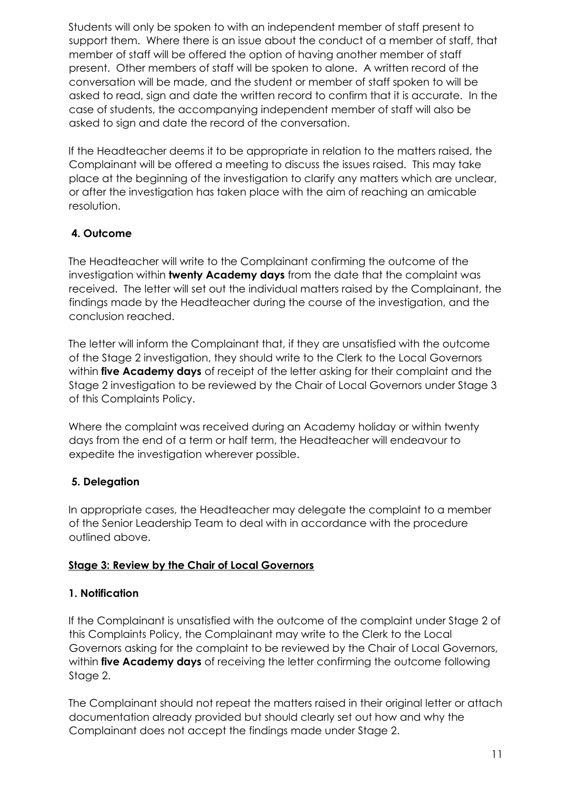Students will only be spoken to with an independent member of staff present to support them. Where there is an issue about the conduct of a member of staff, that member of staff will be offered the option of having another member of staff present. Other members of staff will be spoken to alone. A written record of the conversation will be made, and the student or member of staff spoken to will be asked to read, sign and date the written record to confirm that it is accurate. In the case of students, the accompanying independent member of staff will also be asked to sign and date the record of the conversation.

If the Headteacher deems it to be appropriate in relation to the matters raised, the Complainant will be offered a meeting to discuss the issues raised. This may take place at the beginning of the investigation to clarify any matters which are unclear, or after the investigation has taken place with the aim of reaching an amicable resolution.

# **4. Outcome**

The Headteacher will write to the Complainant confirming the outcome of the investigation within **twenty Academy days** from the date that the complaint was received. The letter will set out the individual matters raised by the Complainant, the findings made by the Headteacher during the course of the investigation, and the conclusion reached.

The letter will inform the Complainant that, if they are unsatisfied with the outcome of the Stage 2 investigation, they should write to the Clerk to the Local Governors within **five Academy days** of receipt of the letter asking for their complaint and the Stage 2 investigation to be reviewed by the Chair of Local Governors under Stage 3 of this Complaints Policy.

Where the complaint was received during an Academy holiday or within twenty days from the end of a term or half term, the Headteacher will endeavour to expedite the investigation wherever possible.

# **5. Delegation**

In appropriate cases, the Headteacher may delegate the complaint to a member of the Senior Leadership Team to deal with in accordance with the procedure outlined above.

# **Stage 3: Review by the Chair of Local Governors**

# **1. Notification**

If the Complainant is unsatisfied with the outcome of the complaint under Stage 2 of this Complaints Policy, the Complainant may write to the Clerk to the Local Governors asking for the complaint to be reviewed by the Chair of Local Governors, within **five Academy days** of receiving the letter confirming the outcome following Stage 2.

The Complainant should not repeat the matters raised in their original letter or attach documentation already provided but should clearly set out how and why the Complainant does not accept the findings made under Stage 2.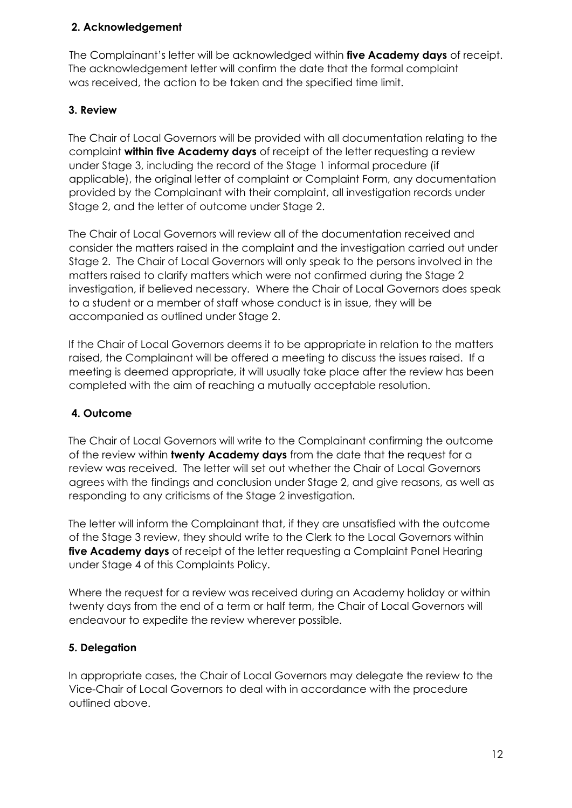## **2. Acknowledgement**

The Complainant's letter will be acknowledged within **five Academy days** of receipt. The acknowledgement letter will confirm the date that the formal complaint was received, the action to be taken and the specified time limit.

## **3. Review**

The Chair of Local Governors will be provided with all documentation relating to the complaint **within five Academy days** of receipt of the letter requesting a review under Stage 3, including the record of the Stage 1 informal procedure (if applicable), the original letter of complaint or Complaint Form, any documentation provided by the Complainant with their complaint, all investigation records under Stage 2, and the letter of outcome under Stage 2.

The Chair of Local Governors will review all of the documentation received and consider the matters raised in the complaint and the investigation carried out under Stage 2. The Chair of Local Governors will only speak to the persons involved in the matters raised to clarify matters which were not confirmed during the Stage 2 investigation, if believed necessary. Where the Chair of Local Governors does speak to a student or a member of staff whose conduct is in issue, they will be accompanied as outlined under Stage 2.

If the Chair of Local Governors deems it to be appropriate in relation to the matters raised, the Complainant will be offered a meeting to discuss the issues raised. If a meeting is deemed appropriate, it will usually take place after the review has been completed with the aim of reaching a mutually acceptable resolution.

# **4. Outcome**

The Chair of Local Governors will write to the Complainant confirming the outcome of the review within **twenty Academy days** from the date that the request for a review was received. The letter will set out whether the Chair of Local Governors agrees with the findings and conclusion under Stage 2, and give reasons, as well as responding to any criticisms of the Stage 2 investigation.

The letter will inform the Complainant that, if they are unsatisfied with the outcome of the Stage 3 review, they should write to the Clerk to the Local Governors within **five Academy days** of receipt of the letter requesting a Complaint Panel Hearing under Stage 4 of this Complaints Policy.

Where the request for a review was received during an Academy holiday or within twenty days from the end of a term or half term, the Chair of Local Governors will endeavour to expedite the review wherever possible.

## **5. Delegation**

In appropriate cases, the Chair of Local Governors may delegate the review to the Vice-Chair of Local Governors to deal with in accordance with the procedure outlined above.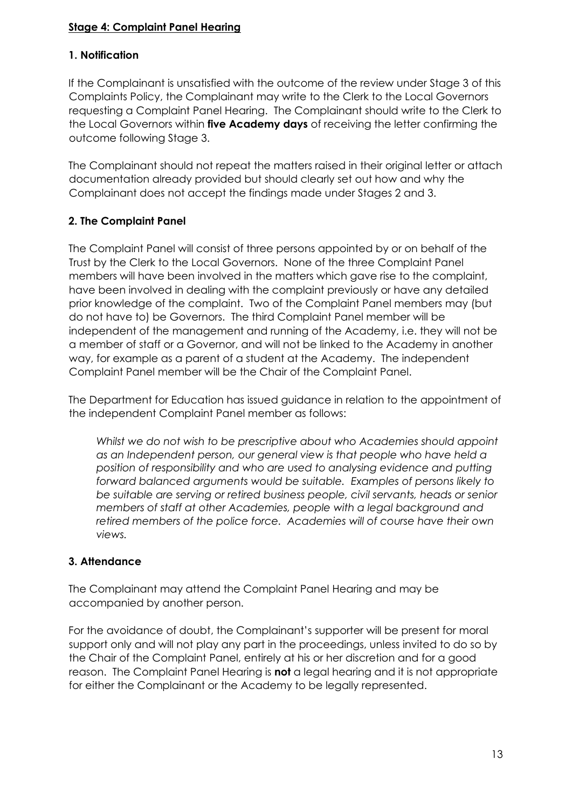## **Stage 4: Complaint Panel Hearing**

## **1. Notification**

If the Complainant is unsatisfied with the outcome of the review under Stage 3 of this Complaints Policy, the Complainant may write to the Clerk to the Local Governors requesting a Complaint Panel Hearing. The Complainant should write to the Clerk to the Local Governors within **five Academy days** of receiving the letter confirming the outcome following Stage 3.

The Complainant should not repeat the matters raised in their original letter or attach documentation already provided but should clearly set out how and why the Complainant does not accept the findings made under Stages 2 and 3.

## **2. The Complaint Panel**

The Complaint Panel will consist of three persons appointed by or on behalf of the Trust by the Clerk to the Local Governors. None of the three Complaint Panel members will have been involved in the matters which gave rise to the complaint, have been involved in dealing with the complaint previously or have any detailed prior knowledge of the complaint. Two of the Complaint Panel members may (but do not have to) be Governors. The third Complaint Panel member will be independent of the management and running of the Academy, i.e. they will not be a member of staff or a Governor, and will not be linked to the Academy in another way, for example as a parent of a student at the Academy. The independent Complaint Panel member will be the Chair of the Complaint Panel.

The Department for Education has issued guidance in relation to the appointment of the independent Complaint Panel member as follows:

*Whilst we do not wish to be prescriptive about who Academies should appoint as an Independent person, our general view is that people who have held a position of responsibility and who are used to analysing evidence and putting forward balanced arguments would be suitable. Examples of persons likely to be suitable are serving or retired business people, civil servants, heads or senior members of staff at other Academies, people with a legal background and retired members of the police force. Academies will of course have their own views.* 

# **3. Attendance**

The Complainant may attend the Complaint Panel Hearing and may be accompanied by another person.

For the avoidance of doubt, the Complainant's supporter will be present for moral support only and will not play any part in the proceedings, unless invited to do so by the Chair of the Complaint Panel, entirely at his or her discretion and for a good reason. The Complaint Panel Hearing is **not** a legal hearing and it is not appropriate for either the Complainant or the Academy to be legally represented.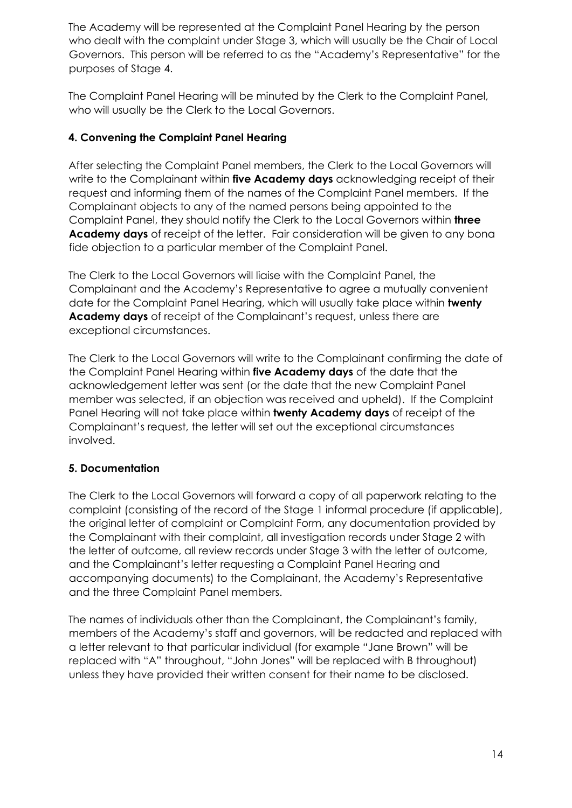The Academy will be represented at the Complaint Panel Hearing by the person who dealt with the complaint under Stage 3, which will usually be the Chair of Local Governors. This person will be referred to as the "Academy's Representative" for the purposes of Stage 4.

The Complaint Panel Hearing will be minuted by the Clerk to the Complaint Panel, who will usually be the Clerk to the Local Governors.

# **4. Convening the Complaint Panel Hearing**

After selecting the Complaint Panel members, the Clerk to the Local Governors will write to the Complainant within **five Academy days** acknowledging receipt of their request and informing them of the names of the Complaint Panel members. If the Complainant objects to any of the named persons being appointed to the Complaint Panel, they should notify the Clerk to the Local Governors within **three Academy days** of receipt of the letter. Fair consideration will be given to any bona fide objection to a particular member of the Complaint Panel.

The Clerk to the Local Governors will liaise with the Complaint Panel, the Complainant and the Academy's Representative to agree a mutually convenient date for the Complaint Panel Hearing, which will usually take place within **twenty Academy days** of receipt of the Complainant's request, unless there are exceptional circumstances.

The Clerk to the Local Governors will write to the Complainant confirming the date of the Complaint Panel Hearing within **five Academy days** of the date that the acknowledgement letter was sent (or the date that the new Complaint Panel member was selected, if an objection was received and upheld). If the Complaint Panel Hearing will not take place within **twenty Academy days** of receipt of the Complainant's request, the letter will set out the exceptional circumstances involved.

# **5. Documentation**

The Clerk to the Local Governors will forward a copy of all paperwork relating to the complaint (consisting of the record of the Stage 1 informal procedure (if applicable), the original letter of complaint or Complaint Form, any documentation provided by the Complainant with their complaint, all investigation records under Stage 2 with the letter of outcome, all review records under Stage 3 with the letter of outcome, and the Complainant's letter requesting a Complaint Panel Hearing and accompanying documents) to the Complainant, the Academy's Representative and the three Complaint Panel members.

The names of individuals other than the Complainant, the Complainant's family, members of the Academy's staff and governors, will be redacted and replaced with a letter relevant to that particular individual (for example "Jane Brown" will be replaced with "A" throughout, "John Jones" will be replaced with B throughout) unless they have provided their written consent for their name to be disclosed.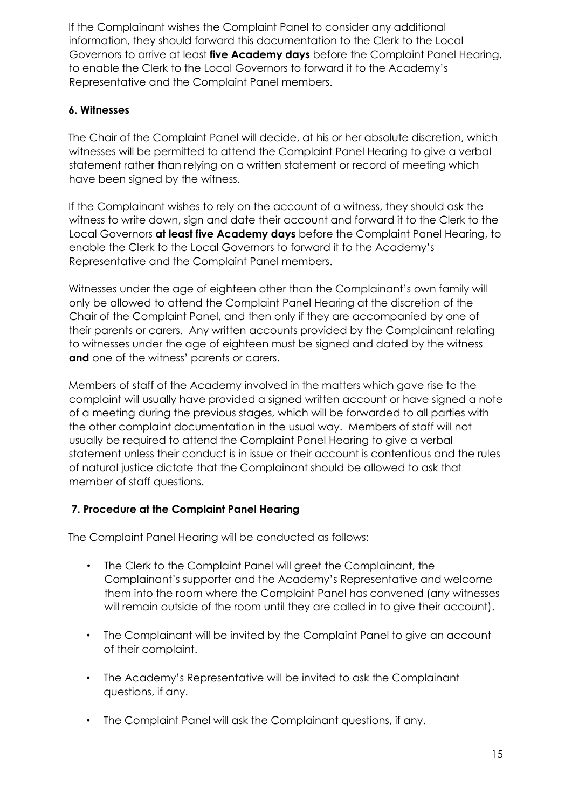If the Complainant wishes the Complaint Panel to consider any additional information, they should forward this documentation to the Clerk to the Local Governors to arrive at least **five Academy days** before the Complaint Panel Hearing, to enable the Clerk to the Local Governors to forward it to the Academy's Representative and the Complaint Panel members.

## **6. Witnesses**

The Chair of the Complaint Panel will decide, at his or her absolute discretion, which witnesses will be permitted to attend the Complaint Panel Hearing to give a verbal statement rather than relying on a written statement or record of meeting which have been signed by the witness.

If the Complainant wishes to rely on the account of a witness, they should ask the witness to write down, sign and date their account and forward it to the Clerk to the Local Governors **at least five Academy days** before the Complaint Panel Hearing, to enable the Clerk to the Local Governors to forward it to the Academy's Representative and the Complaint Panel members.

Witnesses under the age of eighteen other than the Complainant's own family will only be allowed to attend the Complaint Panel Hearing at the discretion of the Chair of the Complaint Panel, and then only if they are accompanied by one of their parents or carers. Any written accounts provided by the Complainant relating to witnesses under the age of eighteen must be signed and dated by the witness **and** one of the witness' parents or carers.

Members of staff of the Academy involved in the matters which gave rise to the complaint will usually have provided a signed written account or have signed a note of a meeting during the previous stages, which will be forwarded to all parties with the other complaint documentation in the usual way. Members of staff will not usually be required to attend the Complaint Panel Hearing to give a verbal statement unless their conduct is in issue or their account is contentious and the rules of natural justice dictate that the Complainant should be allowed to ask that member of staff questions.

# **7. Procedure at the Complaint Panel Hearing**

The Complaint Panel Hearing will be conducted as follows:

- The Clerk to the Complaint Panel will greet the Complainant, the Complainant's supporter and the Academy's Representative and welcome them into the room where the Complaint Panel has convened (any witnesses will remain outside of the room until they are called in to give their account).
- The Complainant will be invited by the Complaint Panel to give an account of their complaint.
- The Academy's Representative will be invited to ask the Complainant questions, if any.
- The Complaint Panel will ask the Complainant questions, if any.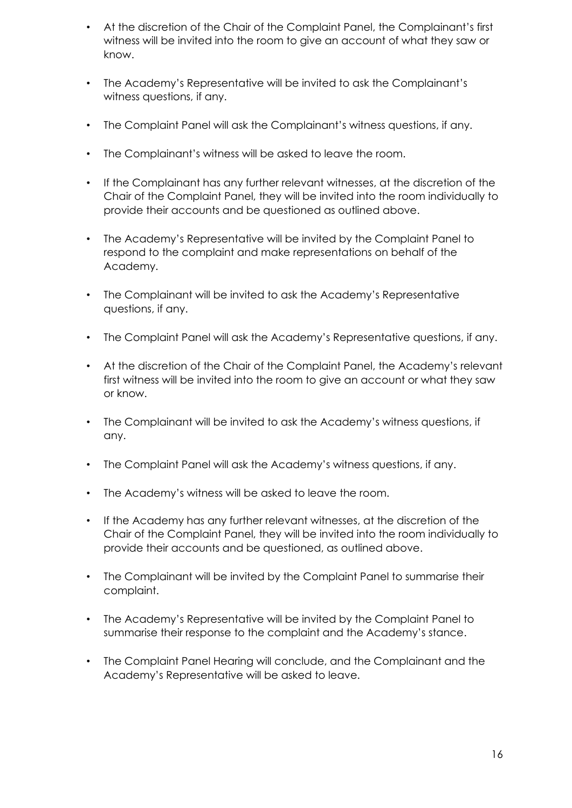- At the discretion of the Chair of the Complaint Panel, the Complainant's first witness will be invited into the room to give an account of what they saw or know.
- The Academy's Representative will be invited to ask the Complainant's witness questions, if any.
- The Complaint Panel will ask the Complainant's witness questions, if any.
- The Complainant's witness will be asked to leave the room.
- If the Complainant has any further relevant witnesses, at the discretion of the Chair of the Complaint Panel, they will be invited into the room individually to provide their accounts and be questioned as outlined above.
- The Academy's Representative will be invited by the Complaint Panel to respond to the complaint and make representations on behalf of the Academy.
- The Complainant will be invited to ask the Academy's Representative questions, if any.
- The Complaint Panel will ask the Academy's Representative questions, if any.
- At the discretion of the Chair of the Complaint Panel, the Academy's relevant first witness will be invited into the room to give an account or what they saw or know.
- The Complainant will be invited to ask the Academy's witness questions, if any.
- The Complaint Panel will ask the Academy's witness questions, if any.
- The Academy's witness will be asked to leave the room.
- If the Academy has any further relevant witnesses, at the discretion of the Chair of the Complaint Panel, they will be invited into the room individually to provide their accounts and be questioned, as outlined above.
- The Complainant will be invited by the Complaint Panel to summarise their complaint.
- The Academy's Representative will be invited by the Complaint Panel to summarise their response to the complaint and the Academy's stance.
- The Complaint Panel Hearing will conclude, and the Complainant and the Academy's Representative will be asked to leave.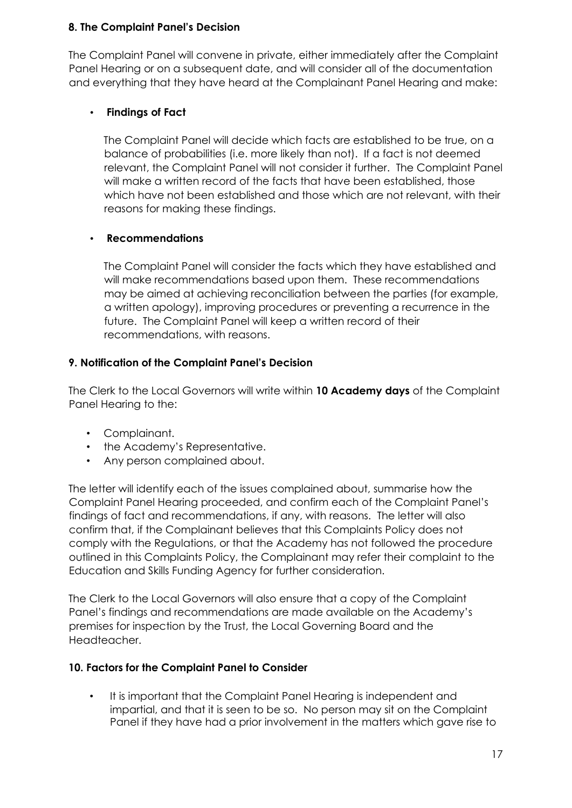## **8. The Complaint Panel's Decision**

The Complaint Panel will convene in private, either immediately after the Complaint Panel Hearing or on a subsequent date, and will consider all of the documentation and everything that they have heard at the Complainant Panel Hearing and make:

# • **Findings of Fact**

The Complaint Panel will decide which facts are established to be true, on a balance of probabilities (i.e. more likely than not). If a fact is not deemed relevant, the Complaint Panel will not consider it further. The Complaint Panel will make a written record of the facts that have been established, those which have not been established and those which are not relevant, with their reasons for making these findings.

# • **Recommendations**

The Complaint Panel will consider the facts which they have established and will make recommendations based upon them. These recommendations may be aimed at achieving reconciliation between the parties (for example, a written apology), improving procedures or preventing a recurrence in the future. The Complaint Panel will keep a written record of their recommendations, with reasons.

# **9. Notification of the Complaint Panel's Decision**

The Clerk to the Local Governors will write within **10 Academy days** of the Complaint Panel Hearing to the:

- Complainant.
- the Academy's Representative.
- Any person complained about.

The letter will identify each of the issues complained about, summarise how the Complaint Panel Hearing proceeded, and confirm each of the Complaint Panel's findings of fact and recommendations, if any, with reasons. The letter will also confirm that, if the Complainant believes that this Complaints Policy does not comply with the Regulations, or that the Academy has not followed the procedure outlined in this Complaints Policy, the Complainant may refer their complaint to the Education and Skills Funding Agency for further consideration.

The Clerk to the Local Governors will also ensure that a copy of the Complaint Panel's findings and recommendations are made available on the Academy's premises for inspection by the Trust, the Local Governing Board and the Headteacher.

# **10. Factors for the Complaint Panel to Consider**

• It is important that the Complaint Panel Hearing is independent and impartial, and that it is seen to be so. No person may sit on the Complaint Panel if they have had a prior involvement in the matters which gave rise to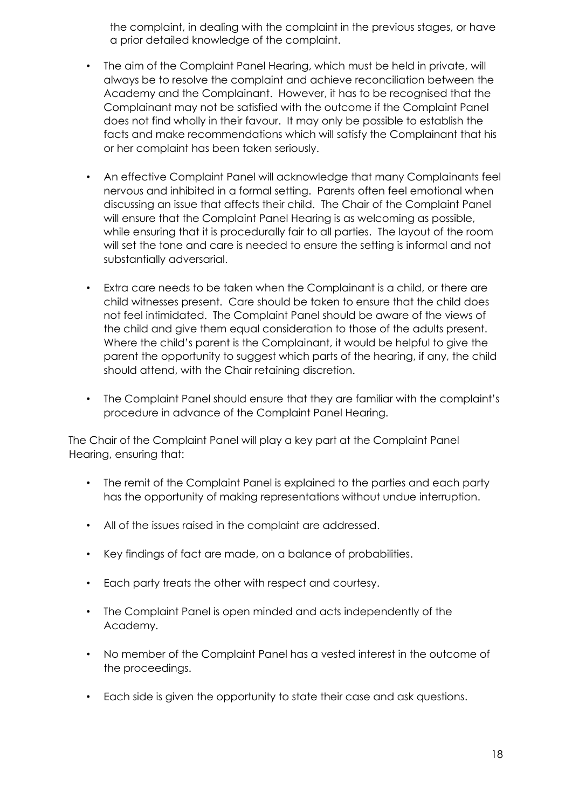the complaint, in dealing with the complaint in the previous stages, or have a prior detailed knowledge of the complaint.

- The aim of the Complaint Panel Hearing, which must be held in private, will always be to resolve the complaint and achieve reconciliation between the Academy and the Complainant. However, it has to be recognised that the Complainant may not be satisfied with the outcome if the Complaint Panel does not find wholly in their favour. It may only be possible to establish the facts and make recommendations which will satisfy the Complainant that his or her complaint has been taken seriously.
- An effective Complaint Panel will acknowledge that many Complainants feel nervous and inhibited in a formal setting. Parents often feel emotional when discussing an issue that affects their child. The Chair of the Complaint Panel will ensure that the Complaint Panel Hearing is as welcoming as possible, while ensuring that it is procedurally fair to all parties. The layout of the room will set the tone and care is needed to ensure the setting is informal and not substantially adversarial.
- Extra care needs to be taken when the Complainant is a child, or there are child witnesses present. Care should be taken to ensure that the child does not feel intimidated. The Complaint Panel should be aware of the views of the child and give them equal consideration to those of the adults present. Where the child's parent is the Complainant, it would be helpful to give the parent the opportunity to suggest which parts of the hearing, if any, the child should attend, with the Chair retaining discretion.
- The Complaint Panel should ensure that they are familiar with the complaint's procedure in advance of the Complaint Panel Hearing.

The Chair of the Complaint Panel will play a key part at the Complaint Panel Hearing, ensuring that:

- The remit of the Complaint Panel is explained to the parties and each party has the opportunity of making representations without undue interruption.
- All of the issues raised in the complaint are addressed.
- Key findings of fact are made, on a balance of probabilities.
- Each party treats the other with respect and courtesy.
- The Complaint Panel is open minded and acts independently of the Academy.
- No member of the Complaint Panel has a vested interest in the outcome of the proceedings.
- Each side is given the opportunity to state their case and ask questions.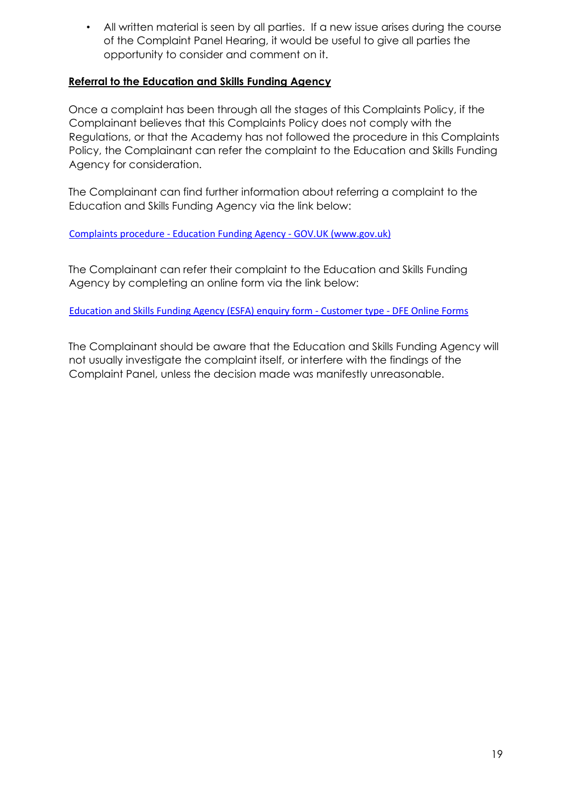• All written material is seen by all parties. If a new issue arises during the course of the Complaint Panel Hearing, it would be useful to give all parties the opportunity to consider and comment on it.

## **Referral to the Education and Skills Funding Agency**

Once a complaint has been through all the stages of this Complaints Policy, if the Complainant believes that this Complaints Policy does not comply with the Regulations, or that the Academy has not followed the procedure in this Complaints Policy, the Complainant can refer the complaint to the Education and Skills Funding Agency for consideration.

The Complainant can find further information about referring a complaint to the Education and Skills Funding Agency via the link below:

Complaints procedure - [Education Funding Agency -](https://www.gov.uk/government/organisations/education-funding-agency/about/complaints-procedure) GOV.UK (www.gov.uk)

The Complainant can refer their complaint to the Education and Skills Funding Agency by completing an online form via the link below:

[Education and Skills Funding Agency \(ESFA\) enquiry form -](https://form.education.gov.uk/en/AchieveForms/?form_uri=sandbox-publish://AF-Process-f9f4f5a1-936f-448b-bbeb-9dcdd595f468/AF-Stage-8aa41278-3cdd-45a3-ad87-80cbffb8b992/definition.json&redirectlink=/en&cancelRedirectLink=/en) Customer type - DFE Online Forms

The Complainant should be aware that the Education and Skills Funding Agency will not usually investigate the complaint itself, or interfere with the findings of the Complaint Panel, unless the decision made was manifestly unreasonable.